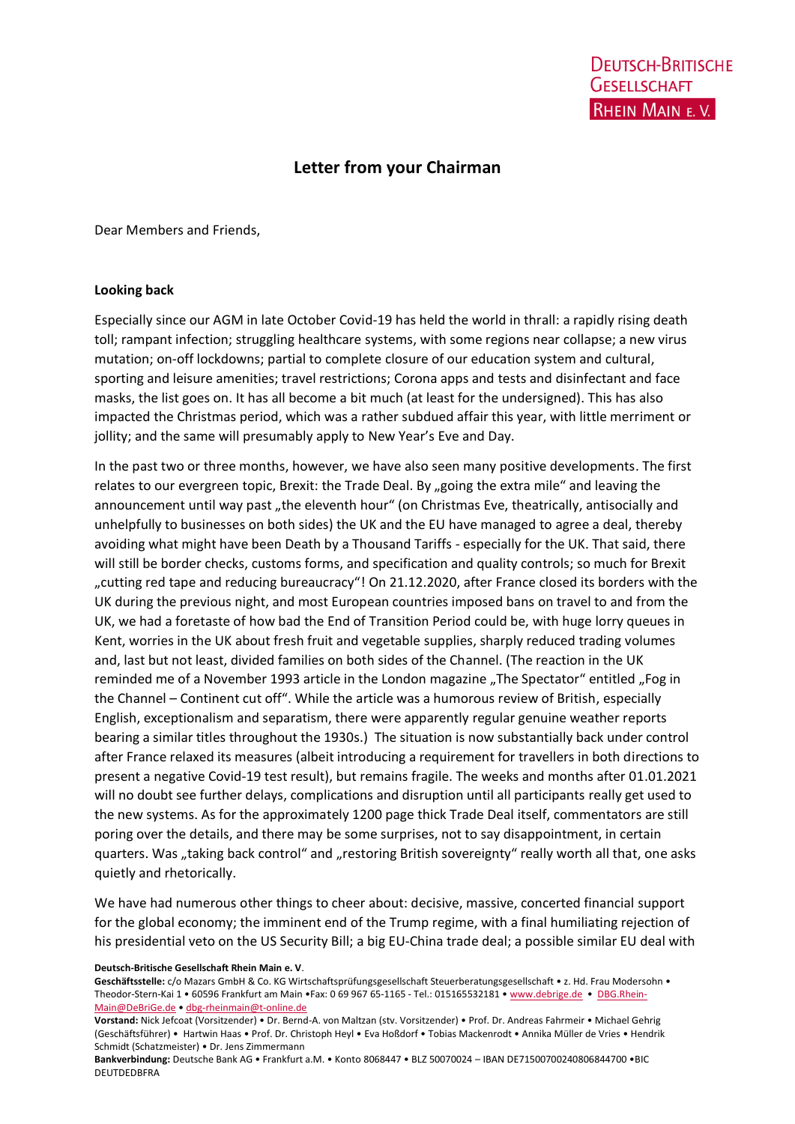## **Letter from your Chairman**

Dear Members and Friends,

## **Looking back**

Especially since our AGM in late October Covid-19 has held the world in thrall: a rapidly rising death toll; rampant infection; struggling healthcare systems, with some regions near collapse; a new virus mutation; on-off lockdowns; partial to complete closure of our education system and cultural, sporting and leisure amenities; travel restrictions; Corona apps and tests and disinfectant and face masks, the list goes on. It has all become a bit much (at least for the undersigned). This has also impacted the Christmas period, which was a rather subdued affair this year, with little merriment or jollity; and the same will presumably apply to New Year's Eve and Day.

In the past two or three months, however, we have also seen many positive developments. The first relates to our evergreen topic, Brexit: the Trade Deal. By "going the extra mile" and leaving the announcement until way past "the eleventh hour" (on Christmas Eve, theatrically, antisocially and unhelpfully to businesses on both sides) the UK and the EU have managed to agree a deal, thereby avoiding what might have been Death by a Thousand Tariffs - especially for the UK. That said, there will still be border checks, customs forms, and specification and quality controls; so much for Brexit "cutting red tape and reducing bureaucracy"! On 21.12.2020, after France closed its borders with the UK during the previous night, and most European countries imposed bans on travel to and from the UK, we had a foretaste of how bad the End of Transition Period could be, with huge lorry queues in Kent, worries in the UK about fresh fruit and vegetable supplies, sharply reduced trading volumes and, last but not least, divided families on both sides of the Channel. (The reaction in the UK reminded me of a November 1993 article in the London magazine "The Spectator" entitled "Fog in the Channel – Continent cut off". While the article was a humorous review of British, especially English, exceptionalism and separatism, there were apparently regular genuine weather reports bearing a similar titles throughout the 1930s.) The situation is now substantially back under control after France relaxed its measures (albeit introducing a requirement for travellers in both directions to present a negative Covid-19 test result), but remains fragile. The weeks and months after 01.01.2021 will no doubt see further delays, complications and disruption until all participants really get used to the new systems. As for the approximately 1200 page thick Trade Deal itself, commentators are still poring over the details, and there may be some surprises, not to say disappointment, in certain quarters. Was "taking back control" and "restoring British sovereignty" really worth all that, one asks quietly and rhetorically.

We have had numerous other things to cheer about: decisive, massive, concerted financial support for the global economy; the imminent end of the Trump regime, with a final humiliating rejection of his presidential veto on the US Security Bill; a big EU-China trade deal; a possible similar EU deal with

**Deutsch-Britische Gesellschaft Rhein Main e. V**.

Geschäftsstelle: c/o Mazars GmbH & Co. KG Wirtschaftsprüfungsgesellschaft Steuerberatungsgesellschaft • z. Hd. Frau Modersohn • Theodor-Stern-Kai 1 • 60596 Frankfurt am Main •Fax: 0 69 967 65-1165 - Tel.: 015165532181 • [www.debrige.de](http://www.debrige.de/) • [DBG.Rhein-](mailto:DBG.Rhein-Main@DeBriGe.de)[Main@DeBriGe.de](mailto:DBG.Rhein-Main@DeBriGe.de) • [dbg-rheinmain@t-online.de](mailto:dbg-rheinmain@t-online.de)

**Vorstand:** Nick Jefcoat (Vorsitzender) • Dr. Bernd-A. von Maltzan (stv. Vorsitzender) • Prof. Dr. Andreas Fahrmeir • Michael Gehrig (Geschäftsführer) • Hartwin Haas • Prof. Dr. Christoph Heyl • Eva Hoßdorf • Tobias Mackenrodt • Annika Müller de Vries • Hendrik Schmidt (Schatzmeister) • Dr. Jens Zimmermann

**Bankverbindung:** Deutsche Bank AG • Frankfurt a.M. • Konto 8068447 • BLZ 50070024 – IBAN DE71500700240806844700 •BIC DEUTDEDBFRA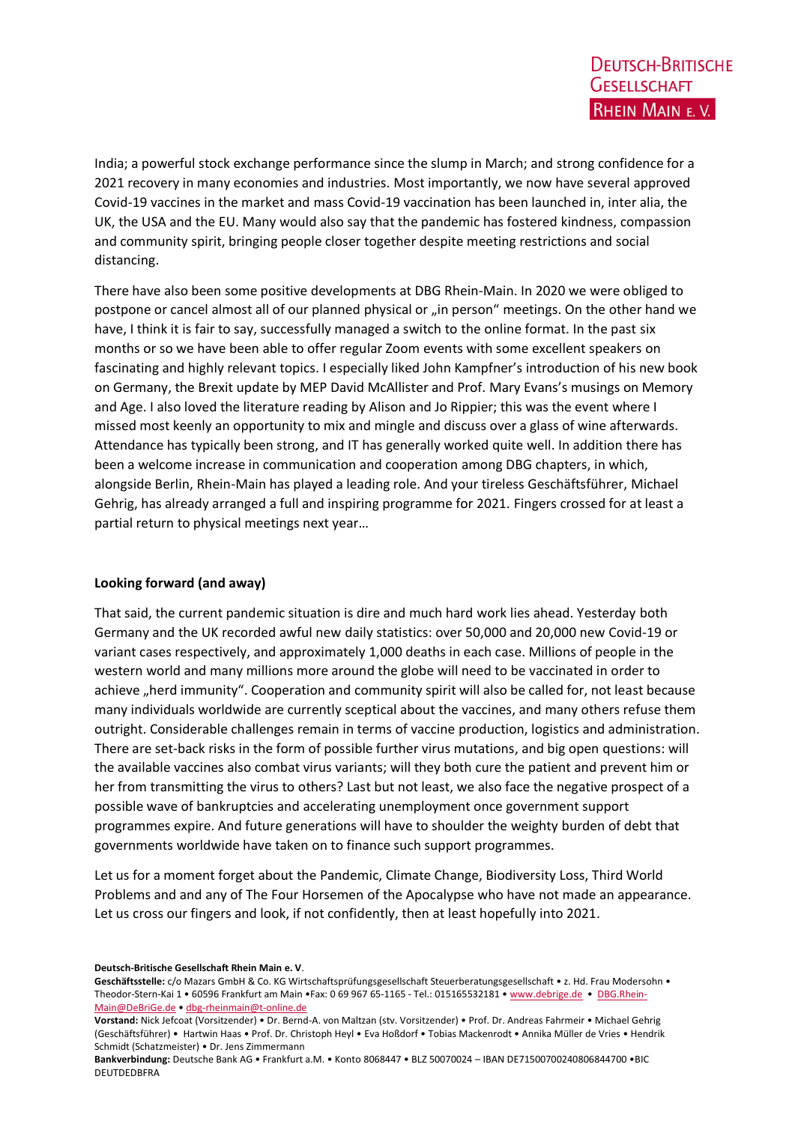India; a powerful stock exchange performance since the slump in March; and strong confidence for a 2021 recovery in many economies and industries. Most importantly, we now have several approved Covid-19 vaccines in the market and mass Covid-19 vaccination has been launched in, inter alia, the UK, the USA and the EU. Many would also say that the pandemic has fostered kindness, compassion and community spirit, bringing people closer together despite meeting restrictions and social distancing.

There have also been some positive developments at DBG Rhein-Main. In 2020 we were obliged to postpone or cancel almost all of our planned physical or "in person" meetings. On the other hand we have, I think it is fair to say, successfully managed a switch to the online format. In the past six months or so we have been able to offer regular Zoom events with some excellent speakers on fascinating and highly relevant topics. I especially liked John Kampfner's introduction of his new book on Germany, the Brexit update by MEP David McAllister and Prof. Mary Evans's musings on Memory and Age. I also loved the literature reading by Alison and Jo Rippier; this was the event where I missed most keenly an opportunity to mix and mingle and discuss over a glass of wine afterwards. Attendance has typically been strong, and IT has generally worked quite well. In addition there has been a welcome increase in communication and cooperation among DBG chapters, in which, alongside Berlin, Rhein-Main has played a leading role. And your tireless Geschäftsführer, Michael Gehrig, has already arranged a full and inspiring programme for 2021. Fingers crossed for at least a partial return to physical meetings next year…

## **Looking forward (and away)**

That said, the current pandemic situation is dire and much hard work lies ahead. Yesterday both Germany and the UK recorded awful new daily statistics: over 50,000 and 20,000 new Covid-19 or variant cases respectively, and approximately 1,000 deaths in each case. Millions of people in the western world and many millions more around the globe will need to be vaccinated in order to achieve "herd immunity". Cooperation and community spirit will also be called for, not least because many individuals worldwide are currently sceptical about the vaccines, and many others refuse them outright. Considerable challenges remain in terms of vaccine production, logistics and administration. There are set-back risks in the form of possible further virus mutations, and big open questions: will the available vaccines also combat virus variants; will they both cure the patient and prevent him or her from transmitting the virus to others? Last but not least, we also face the negative prospect of a possible wave of bankruptcies and accelerating unemployment once government support programmes expire. And future generations will have to shoulder the weighty burden of debt that governments worldwide have taken on to finance such support programmes.

Let us for a moment forget about the Pandemic, Climate Change, Biodiversity Loss, Third World Problems and and any of The Four Horsemen of the Apocalypse who have not made an appearance. Let us cross our fingers and look, if not confidently, then at least hopefully into 2021.

## **Deutsch-Britische Gesellschaft Rhein Main e. V**.

Geschäftsstelle: c/o Mazars GmbH & Co. KG Wirtschaftsprüfungsgesellschaft Steuerberatungsgesellschaft • z. Hd. Frau Modersohn • Theodor-Stern-Kai 1 • 60596 Frankfurt am Main •Fax: 0 69 967 65-1165 - Tel.: 015165532181 • [www.debrige.de](http://www.debrige.de/) • [DBG.Rhein-](mailto:DBG.Rhein-Main@DeBriGe.de)[Main@DeBriGe.de](mailto:DBG.Rhein-Main@DeBriGe.de) • [dbg-rheinmain@t-online.de](mailto:dbg-rheinmain@t-online.de)

**Vorstand:** Nick Jefcoat (Vorsitzender) • Dr. Bernd-A. von Maltzan (stv. Vorsitzender) • Prof. Dr. Andreas Fahrmeir • Michael Gehrig (Geschäftsführer) • Hartwin Haas • Prof. Dr. Christoph Heyl • Eva Hoßdorf • Tobias Mackenrodt • Annika Müller de Vries • Hendrik Schmidt (Schatzmeister) • Dr. Jens Zimmermann

**Bankverbindung:** Deutsche Bank AG • Frankfurt a.M. • Konto 8068447 • BLZ 50070024 – IBAN DE71500700240806844700 •BIC DEUTDEDBFRA